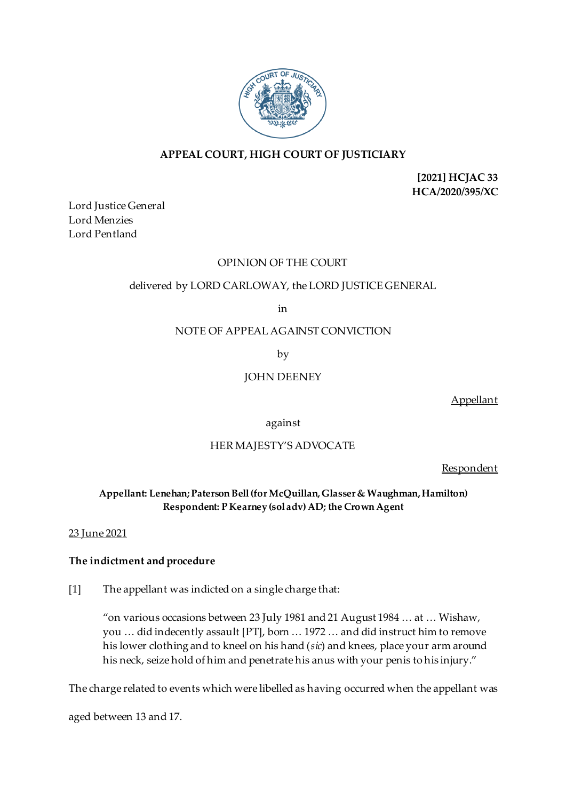

## **APPEAL COURT, HIGH COURT OF JUSTICIARY**

**[2021] HCJAC 33 HCA/2020/395/XC**

Lord Justice General Lord Menzies Lord Pentland

## OPINION OF THE COURT

# delivered by LORD CARLOWAY, the LORD JUSTICE GENERAL

in

NOTE OF APPEAL AGAINST CONVICTION

by

JOHN DEENEY

Appellant

against

# HER MAJESTY'S ADVOCATE

Respondent

# **Appellant: Lenehan; Paterson Bell (for McQuillan, Glasser & Waughman, Hamilton) Respondent: P Kearney (sol adv) AD; the Crown Agent**

## 23 June 2021

## **The indictment and procedure**

[1] The appellant was indicted on a single charge that:

"on various occasions between 23 July 1981 and 21 August 1984 … at … Wishaw, you … did indecently assault [PT], born … 1972 … and did instruct him to remove his lower clothing and to kneel on his hand (*sic*) and knees, place your arm around his neck, seize hold of him and penetrate his anus with your penis to his injury."

The charge related to events which were libelled as having occurred when the appellant was

aged between 13 and 17.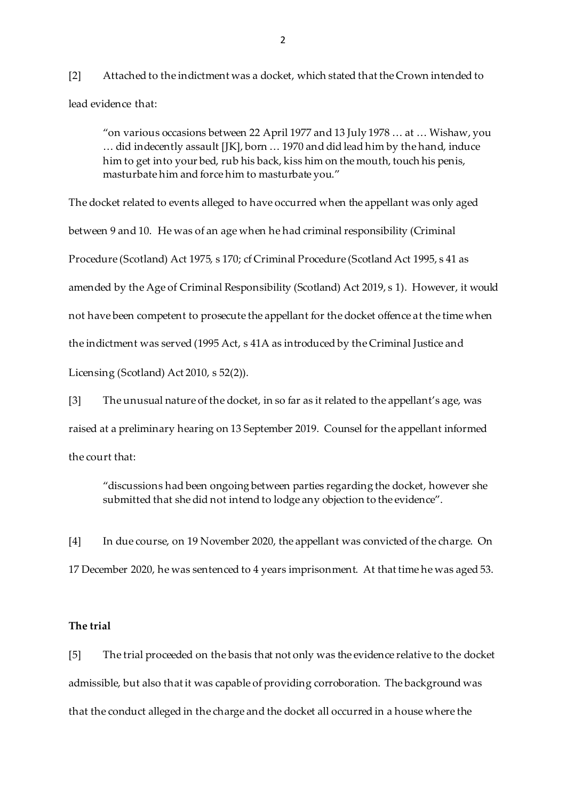[2] Attached to the indictment was a docket, which stated that the Crown intended to lead evidence that:

"on various occasions between 22 April 1977 and 13 July 1978 … at … Wishaw, you … did indecently assault [JK], born … 1970 and did lead him by the hand, induce him to get into your bed, rub his back, kiss him on the mouth, touch his penis, masturbate him and force him to masturbate you."

The docket related to events alleged to have occurred when the appellant was only aged between 9 and 10. He was of an age when he had criminal responsibility (Criminal Procedure (Scotland) Act 1975, s 170; cf Criminal Procedure (Scotland Act 1995, s 41 as amended by the Age of Criminal Responsibility (Scotland) Act 2019, s 1). However, it would not have been competent to prosecute the appellant for the docket offence at the time when the indictment was served (1995 Act, s 41A as introduced by the Criminal Justice and Licensing (Scotland) Act 2010, s 52(2)).

[3] The unusual nature of the docket, in so far as it related to the appellant's age, was raised at a preliminary hearing on 13 September 2019. Counsel for the appellant informed the court that:

"discussions had been ongoing between parties regarding the docket, however she submitted that she did not intend to lodge any objection to the evidence".

[4] In due course, on 19 November 2020, the appellant was convicted of the charge. On 17 December 2020, he was sentenced to 4 years imprisonment. At that time he was aged 53.

### **The trial**

[5] The trial proceeded on the basis that not only was the evidence relative to the docket admissible, but also that it was capable of providing corroboration. The background was that the conduct alleged in the charge and the docket all occurred in a house where the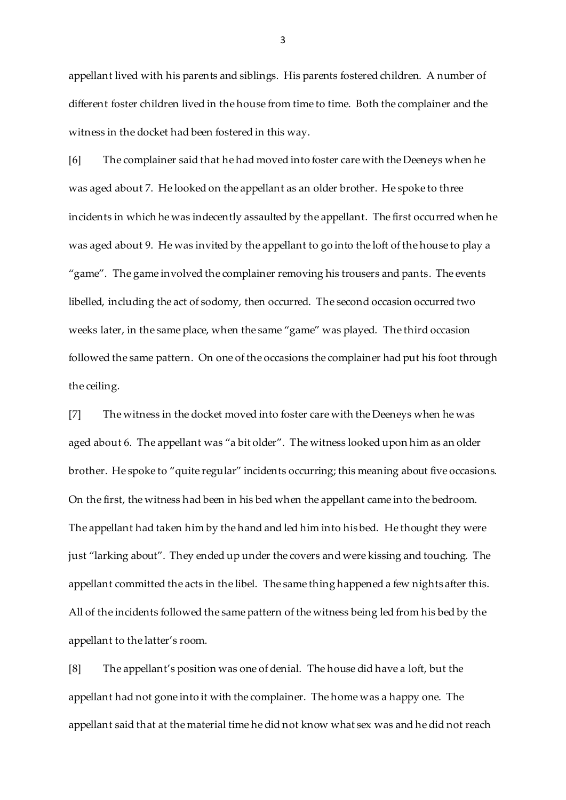appellant lived with his parents and siblings. His parents fostered children. A number of different foster children lived in the house from time to time. Both the complainer and the witness in the docket had been fostered in this way.

[6] The complainer said that he had moved into foster care with the Deeneys when he was aged about 7. He looked on the appellant as an older brother. He spoke to three incidents in which he was indecently assaulted by the appellant. The first occurred when he was aged about 9. He was invited by the appellant to go into the loft of the house to play a "game". The game involved the complainer removing his trousers and pants. The events libelled, including the act of sodomy, then occurred. The second occasion occurred two weeks later, in the same place, when the same "game" was played. The third occasion followed the same pattern. On one of the occasions the complainer had put his foot through the ceiling.

[7] The witness in the docket moved into foster care with the Deeneys when he was aged about 6. The appellant was "a bit older". The witness looked upon him as an older brother. He spoke to "quite regular" incidents occurring; this meaning about five occasions. On the first, the witness had been in his bed when the appellant came into the bedroom. The appellant had taken him by the hand and led him into his bed. He thought they were just "larking about". They ended up under the covers and were kissing and touching. The appellant committed the acts in the libel. The same thing happened a few nights after this. All of the incidents followed the same pattern of the witness being led from his bed by the appellant to the latter's room.

[8] The appellant's position was one of denial. The house did have a loft, but the appellant had not gone into it with the complainer. The home was a happy one. The appellant said that at the material time he did not know what sex was and he did not reach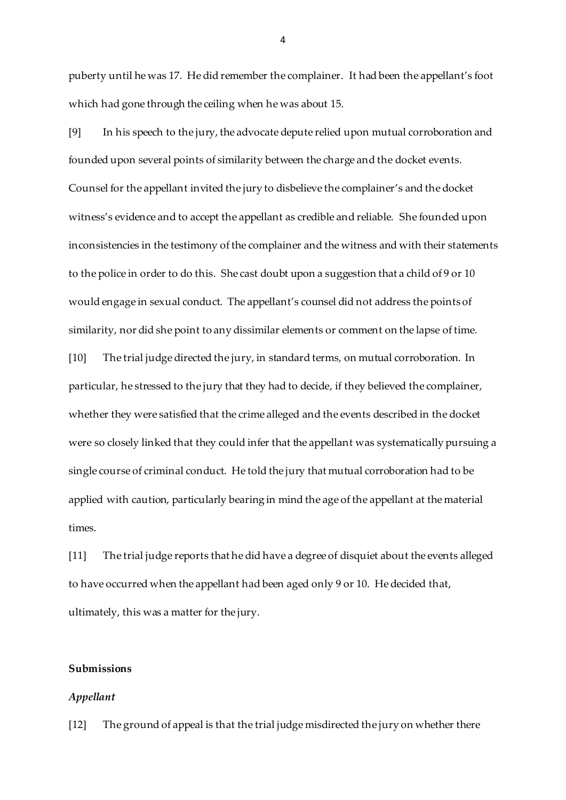puberty until he was 17. He did remember the complainer. It had been the appellant's foot which had gone through the ceiling when he was about 15.

[9] In his speech to the jury, the advocate depute relied upon mutual corroboration and founded upon several points of similarity between the charge and the docket events. Counsel for the appellant invited the jury to disbelieve the complainer's and the docket witness's evidence and to accept the appellant as credible and reliable. She founded upon inconsistencies in the testimony of the complainer and the witness and with their statements to the police in order to do this. She cast doubt upon a suggestion that a child of 9 or 10 would engage in sexual conduct. The appellant's counsel did not address the points of similarity, nor did she point to any dissimilar elements or comment on the lapse of time. [10] The trial judge directed the jury, in standard terms, on mutual corroboration. In particular, he stressed to the jury that they had to decide, if they believed the complainer, whether they were satisfied that the crime alleged and the events described in the docket were so closely linked that they could infer that the appellant was systematically pursuing a single course of criminal conduct. He told the jury that mutual corroboration had to be

applied with caution, particularly bearing in mind the age of the appellant at the material times.

[11] The trial judge reports that he did have a degree of disquiet about the events alleged to have occurred when the appellant had been aged only 9 or 10. He decided that, ultimately, this was a matter for the jury.

#### **Submissions**

#### *Appellant*

[12] The ground of appeal is that the trial judge misdirected the jury on whether there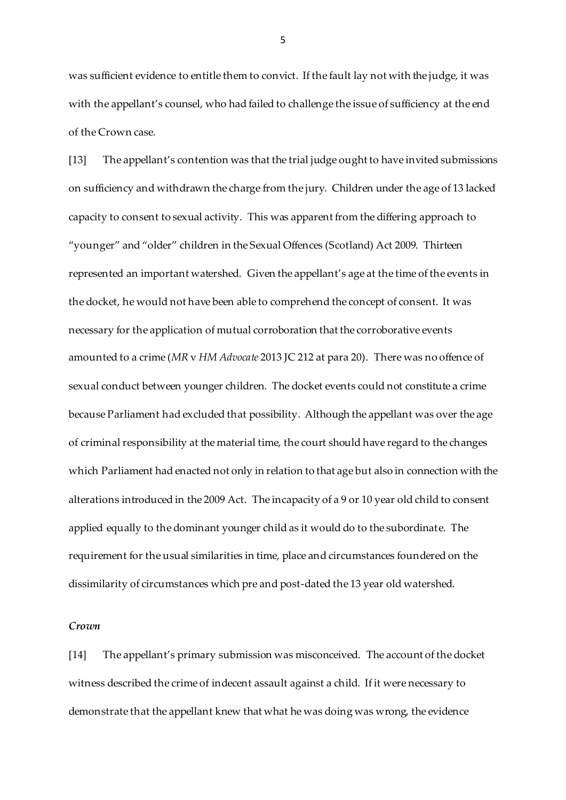was sufficient evidence to entitle them to convict. If the fault lay not with the judge, it was with the appellant's counsel, who had failed to challenge the issue of sufficiency at the end of the Crown case.

[13] The appellant's contention was that the trial judge ought to have invited submissions on sufficiency and withdrawn the charge from the jury. Children under the age of 13 lacked capacity to consent to sexual activity. This was apparent from the differing approach to "younger" and "older" children in the Sexual Offences (Scotland) Act 2009. Thirteen represented an important watershed. Given the appellant's age at the time of the events in the docket, he would not have been able to comprehend the concept of consent. It was necessary for the application of mutual corroboration that the corroborative events amounted to a crime (*MR* v *HM Advocate* 2013 JC 212 at para 20). There was no offence of sexual conduct between younger children. The docket events could not constitute a crime because Parliament had excluded that possibility. Although the appellant was over the age of criminal responsibility at the material time, the court should have regard to the changes which Parliament had enacted not only in relation to that age but also in connection with the alterations introduced in the 2009 Act. The incapacity of a 9 or 10 year old child to consent applied equally to the dominant younger child as it would do to the subordinate. The requirement for the usual similarities in time, place and circumstances foundered on the dissimilarity of circumstances which pre and post-dated the 13 year old watershed.

#### *Crown*

[14] The appellant's primary submission was misconceived. The account of the docket witness described the crime of indecent assault against a child. If it were necessary to demonstrate that the appellant knew that what he was doing was wrong, the evidence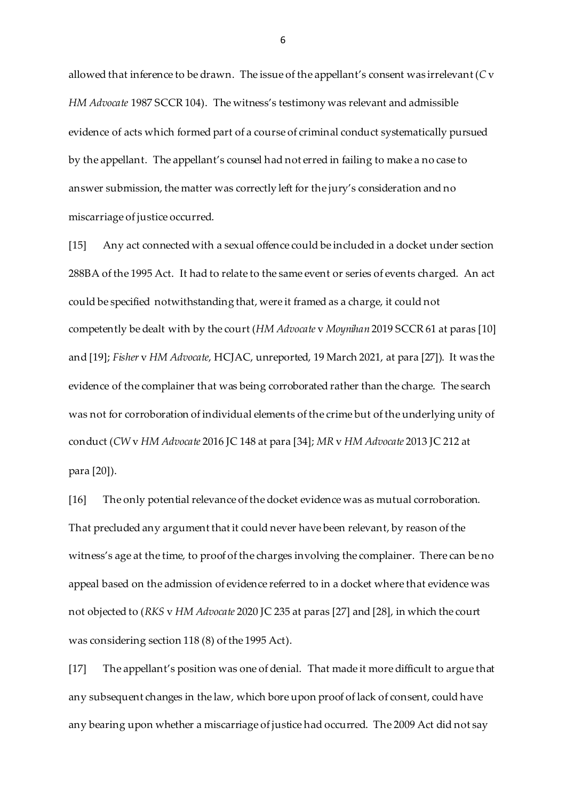allowed that inference to be drawn. The issue of the appellant's consent was irrelevant (*C* v *HM Advocate* 1987 SCCR 104). The witness's testimony was relevant and admissible evidence of acts which formed part of a course of criminal conduct systematically pursued by the appellant. The appellant's counsel had not erred in failing to make a no case to answer submission, the matter was correctly left for the jury's consideration and no miscarriage of justice occurred.

[15] Any act connected with a sexual offence could be included in a docket under section 288BA of the 1995 Act. It had to relate to the same event or series of events charged. An act could be specified notwithstanding that, were it framed as a charge, it could not competently be dealt with by the court (*HM Advocate* v *Moynihan* 2019 SCCR 61 at paras [10] and [19]; *Fisher* v *HM Advocate*, HCJAC, unreported, 19 March 2021, at para [27]). It was the evidence of the complainer that was being corroborated rather than the charge. The search was not for corroboration of individual elements of the crime but of the underlying unity of conduct (*CW* v *HM Advocate* 2016 JC 148 at para [34]; *MR* v *HM Advocate* 2013 JC 212 at para [20]).

[16] The only potential relevance of the docket evidence was as mutual corroboration. That precluded any argument that it could never have been relevant, by reason of the witness's age at the time, to proof of the charges involving the complainer. There can be no appeal based on the admission of evidence referred to in a docket where that evidence was not objected to (*RKS* v *HM Advocate* 2020 JC 235 at paras [27] and [28], in which the court was considering section 118 (8) of the 1995 Act).

[17] The appellant's position was one of denial. That made it more difficult to argue that any subsequent changes in the law, which bore upon proof of lack of consent, could have any bearing upon whether a miscarriage of justice had occurred. The 2009 Act did not say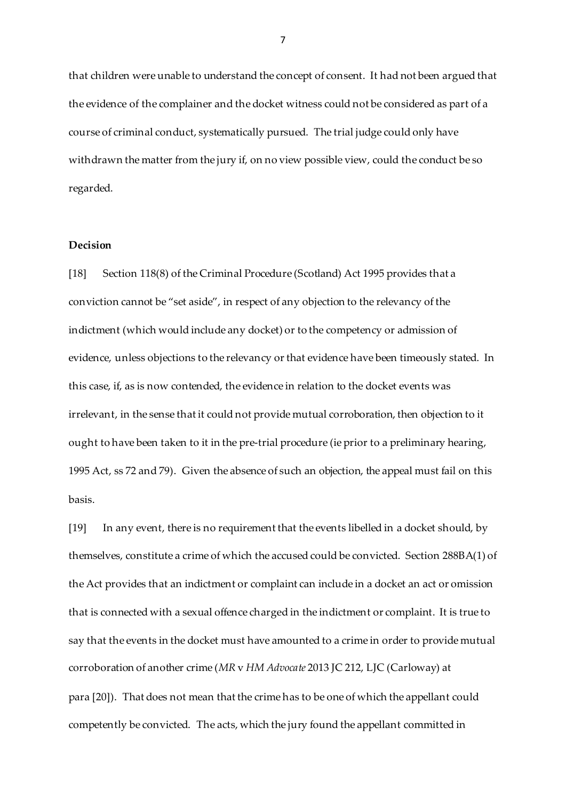that children were unable to understand the concept of consent. It had not been argued that the evidence of the complainer and the docket witness could not be considered as part of a course of criminal conduct, systematically pursued. The trial judge could only have withdrawn the matter from the jury if, on no view possible view, could the conduct be so regarded.

### **Decision**

[18] Section 118(8) of the Criminal Procedure (Scotland) Act 1995 provides that a conviction cannot be "set aside", in respect of any objection to the relevancy of the indictment (which would include any docket) or to the competency or admission of evidence, unless objections to the relevancy or that evidence have been timeously stated. In this case, if, as is now contended, the evidence in relation to the docket events was irrelevant, in the sense that it could not provide mutual corroboration, then objection to it ought to have been taken to it in the pre-trial procedure (ie prior to a preliminary hearing, 1995 Act, ss 72 and 79). Given the absence of such an objection, the appeal must fail on this basis.

[19] In any event, there is no requirement that the events libelled in a docket should, by themselves, constitute a crime of which the accused could be convicted. Section 288BA(1) of the Act provides that an indictment or complaint can include in a docket an act or omission that is connected with a sexual offence charged in the indictment or complaint. It is true to say that the events in the docket must have amounted to a crime in order to provide mutual corroboration of another crime (*MR* v *HM Advocate* 2013 JC 212, LJC (Carloway) at para [20]). That does not mean that the crime has to be one of which the appellant could competently be convicted. The acts, which the jury found the appellant committed in